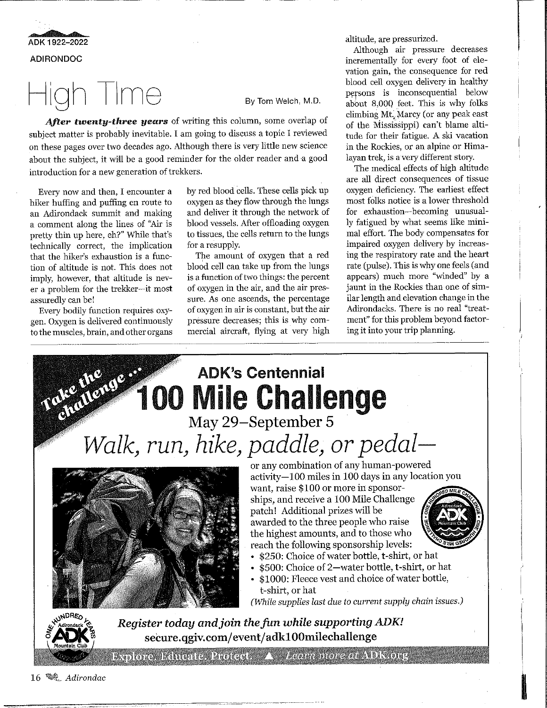**e** • ADK 1922-2022 **ADIRONDOC** 

## High Time

By Tom Welch, M.D.

*After twenty-three years* of writing this column, some overlap of subject matter is probably inevitable. I am going to discuss a topic I reviewed on these pages over two decades ago. Although there is very little new science about the subject, it will be a good reminder for the older reader and a good introduction for a new generation of trekkers.

Every now and then, I encounter a hiker huffing and puffing en route to an Adirondack summit and making a comment along the lines of "Air is pretty thin up here, eh?" While that's technically correct, the implication that the hiker's exhaustion is a function of altitude is not. This does not imply, however, that altitude is never a problem for the trekker-it most assuredly can be!

Every bodily function requires oxygen. Oxygen is delivered continuously to the muscles, brain, and other organs by red blood cells. These cells pick up oxygen as they flow through the lungs and deliver it through the network of blood vessels. After offloading oxygen to tissues, the cells return to the lungs for a resupply.

The amount of oxygen that a red blood cell can take up from the lungs is a function of two things: the percent of oxygen in the air, and the air pressure. As one ascends, the percentage of oxygen in air is constant, but the air pressure decreases; this is why commercial aircraft, flying at very high altitude, are pressurized.

Although air pressure decreases incrementally for every foot of elevation gain, the consequence for red blood cell oxygen delivery in healthy persons is inconsequential below about 8,000 feet. This is why folks climbing Mt. Marcy (or any peak east of the Mississippi) can't blame altitude for their fatigue. A ski vacation in the Rockies, or an alpine or Himalayan trek, is a very different story.

The medical effects of high altitnde are all direct consequences of tissue oxygen deficiency. The earliest effect most folks notice is a lower threshold for exhaustion-becoming unusually fatigued by what seems like minimal effort. The body compensates for impaired oxygen delivery by increasing the respiratory rate and the heart rate (pulse). This is why one feels (and appears) much more "winded" by a jaunt in the Rockies than one of similar length and elevation change in the Adirondacks. There is no real "treatment" for this problem beyond factoring it into your trip planning.



<sup>16</sup>~ *Adirondac*